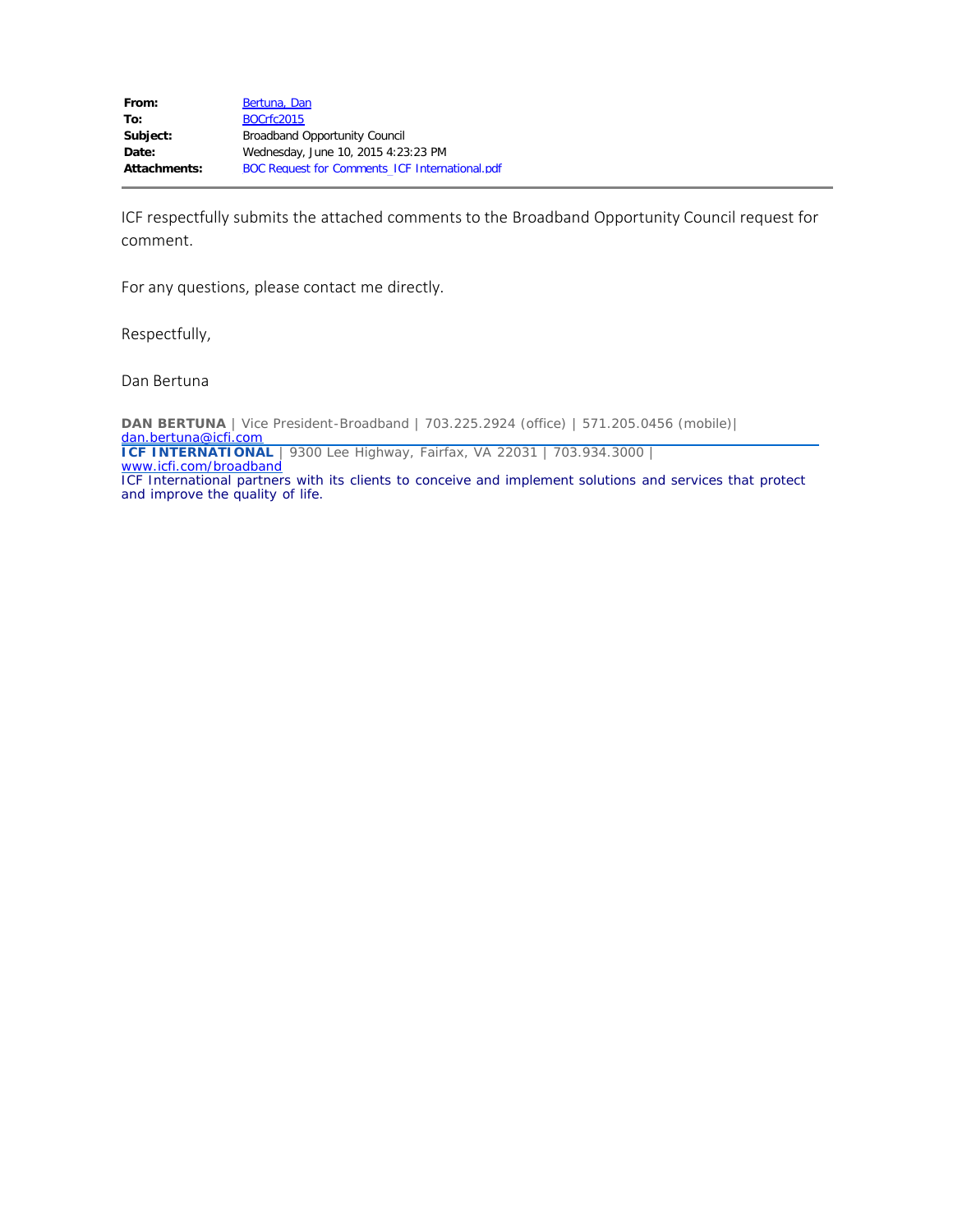ICF respectfully submits the attached comments to the Broadband Opportunity Council request for comment.

For any questions, please contact me directly.

Respectfully,

Dan Bertuna

**DAN BERTUNA** | Vice President-Broadband | 703.225.2924 (office) | 571.205.0456 (mobile)| [dan.bertuna@icfi.com](mailto:dan.bertuna@icfi.com) **ICF INTERNATIONAL** | 9300 Lee Highway, Fairfax, VA 22031 | 703.934.3000 | [www.icfi.com/broadband](http://www.icfi.com/broadband) *ICF International partners with its clients to conceive and implement solutions and services that protect and improve the quality of life.*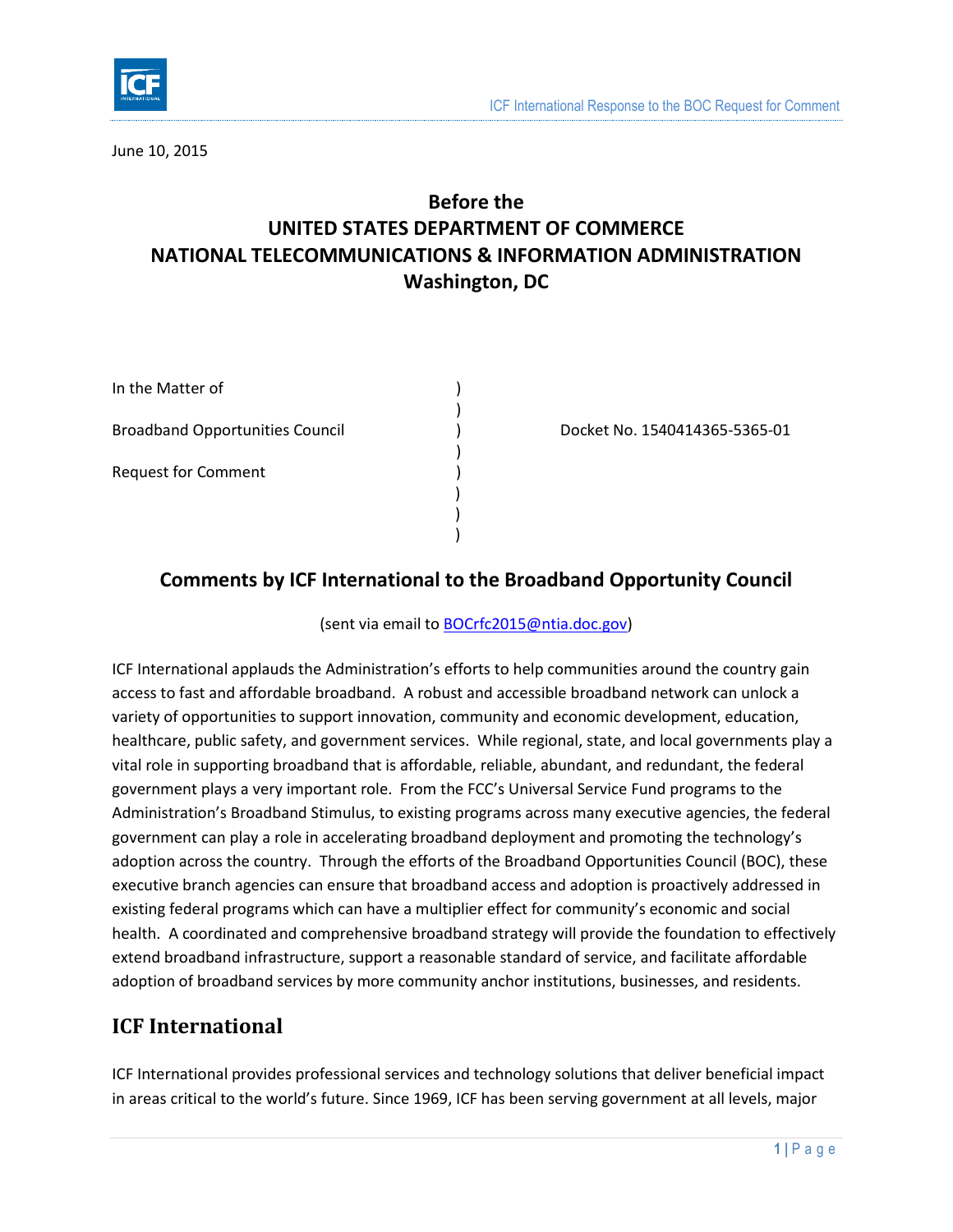

June 10, 2015

# **Before the UNITED STATES DEPARTMENT OF COMMERCE NATIONAL TELECOMMUNICATIONS & INFORMATION ADMINISTRATION Washington, DC**

| In the Matter of                       |  |
|----------------------------------------|--|
| <b>Broadband Opportunities Council</b> |  |
| <b>Request for Comment</b>             |  |
|                                        |  |

) Docket No. 1540414365-5365-01

## **Comments by ICF International to the Broadband Opportunity Council**

)

)

) ) )

(sent via email to **BOCrfc2015@ntia.doc.gov**)

ICF International applauds the Administration's efforts to help communities around the country gain access to fast and affordable broadband. A robust and accessible broadband network can unlock a variety of opportunities to support innovation, community and economic development, education, healthcare, public safety, and government services. While regional, state, and local governments play a vital role in supporting broadband that is affordable, reliable, abundant, and redundant, the federal government plays a very important role. From the FCC's Universal Service Fund programs to the Administration's Broadband Stimulus, to existing programs across many executive agencies, the federal government can play a role in accelerating broadband deployment and promoting the technology's adoption across the country. Through the efforts of the Broadband Opportunities Council (BOC), these executive branch agencies can ensure that broadband access and adoption is proactively addressed in existing federal programs which can have a multiplier effect for community's economic and social health. A coordinated and comprehensive broadband strategy will provide the foundation to effectively extend broadband infrastructure, support a reasonable standard of service, and facilitate affordable adoption of broadband services by more community anchor institutions, businesses, and residents.

## **ICF International**

ICF International provides professional services and technology solutions that deliver beneficial impact in areas critical to the world's future. Since 1969, ICF has been serving government at all levels, major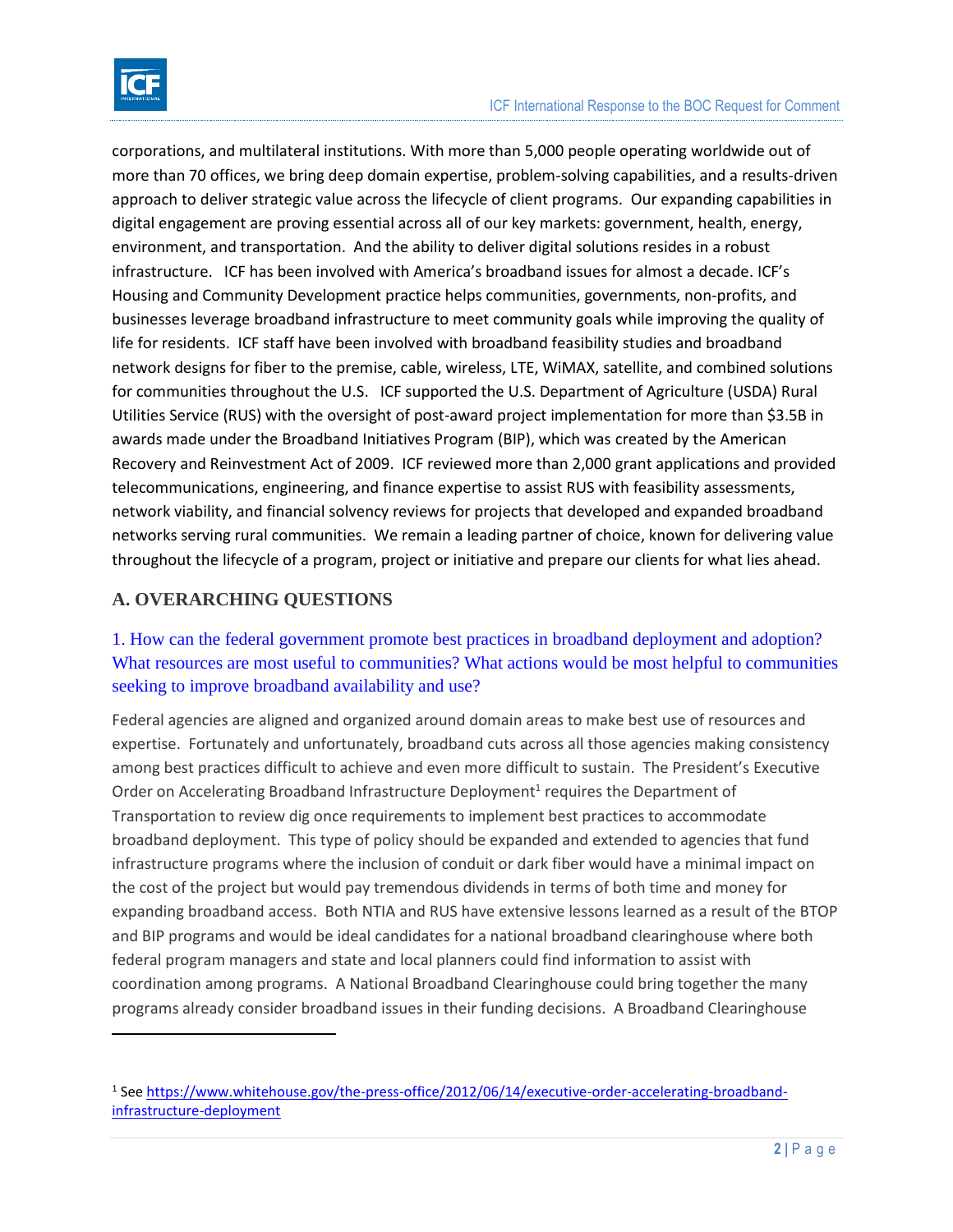

 $\overline{\phantom{a}}$ 

corporations, and multilateral institutions. With more than 5,000 people operating worldwide out of more than 70 offices, we bring deep domain expertise, problem-solving capabilities, and a results-driven approach to deliver strategic value across the lifecycle of client programs. Our expanding capabilities in digital engagement are proving essential across all of our key markets: government, health, energy, environment, and transportation. And the ability to deliver digital solutions resides in a robust infrastructure. ICF has been involved with America's broadband issues for almost a decade. ICF's Housing and Community Development practice helps communities, governments, non-profits, and businesses leverage broadband infrastructure to meet community goals while improving the quality of life for residents. ICF staff have been involved with broadband feasibility studies and broadband network designs for fiber to the premise, cable, wireless, LTE, WiMAX, satellite, and combined solutions for communities throughout the U.S. ICF supported the U.S. Department of Agriculture (USDA) Rural Utilities Service (RUS) with the oversight of post-award project implementation for more than \$3.5B in awards made under the Broadband Initiatives Program (BIP), which was created by the American Recovery and Reinvestment Act of 2009. ICF reviewed more than 2,000 grant applications and provided telecommunications, engineering, and finance expertise to assist RUS with feasibility assessments, network viability, and financial solvency reviews for projects that developed and expanded broadband networks serving rural communities. We remain a leading partner of choice, known for delivering value throughout the lifecycle of a program, project or initiative and prepare our clients for what lies ahead.

#### **A. OVERARCHING QUESTIONS**

### 1. How can the federal government promote best practices in broadband deployment and adoption? What resources are most useful to communities? What actions would be most helpful to communities seeking to improve broadband availability and use?

Federal agencies are aligned and organized around domain areas to make best use of resources and expertise. Fortunately and unfortunately, broadband cuts across all those agencies making consistency among best practices difficult to achieve and even more difficult to sustain. The President's Executive Order on Accelerating Broadband Infrastructure Deployment<sup>1</sup> requires the Department of Transportation to review dig once requirements to implement best practices to accommodate broadband deployment. This type of policy should be expanded and extended to agencies that fund infrastructure programs where the inclusion of conduit or dark fiber would have a minimal impact on the cost of the project but would pay tremendous dividends in terms of both time and money for expanding broadband access. Both NTIA and RUS have extensive lessons learned as a result of the BTOP and BIP programs and would be ideal candidates for a national broadband clearinghouse where both federal program managers and state and local planners could find information to assist with coordination among programs. A National Broadband Clearinghouse could bring together the many programs already consider broadband issues in their funding decisions. A Broadband Clearinghouse

<sup>&</sup>lt;sup>1</sup> See [https://www.whitehouse.gov/the-press-office/2012/06/14/executive-order-accelerating-broadband](https://www.whitehouse.gov/the-press-office/2012/06/14/executive-order-accelerating-broadband-infrastructure-deployment)[infrastructure-deployment](https://www.whitehouse.gov/the-press-office/2012/06/14/executive-order-accelerating-broadband-infrastructure-deployment)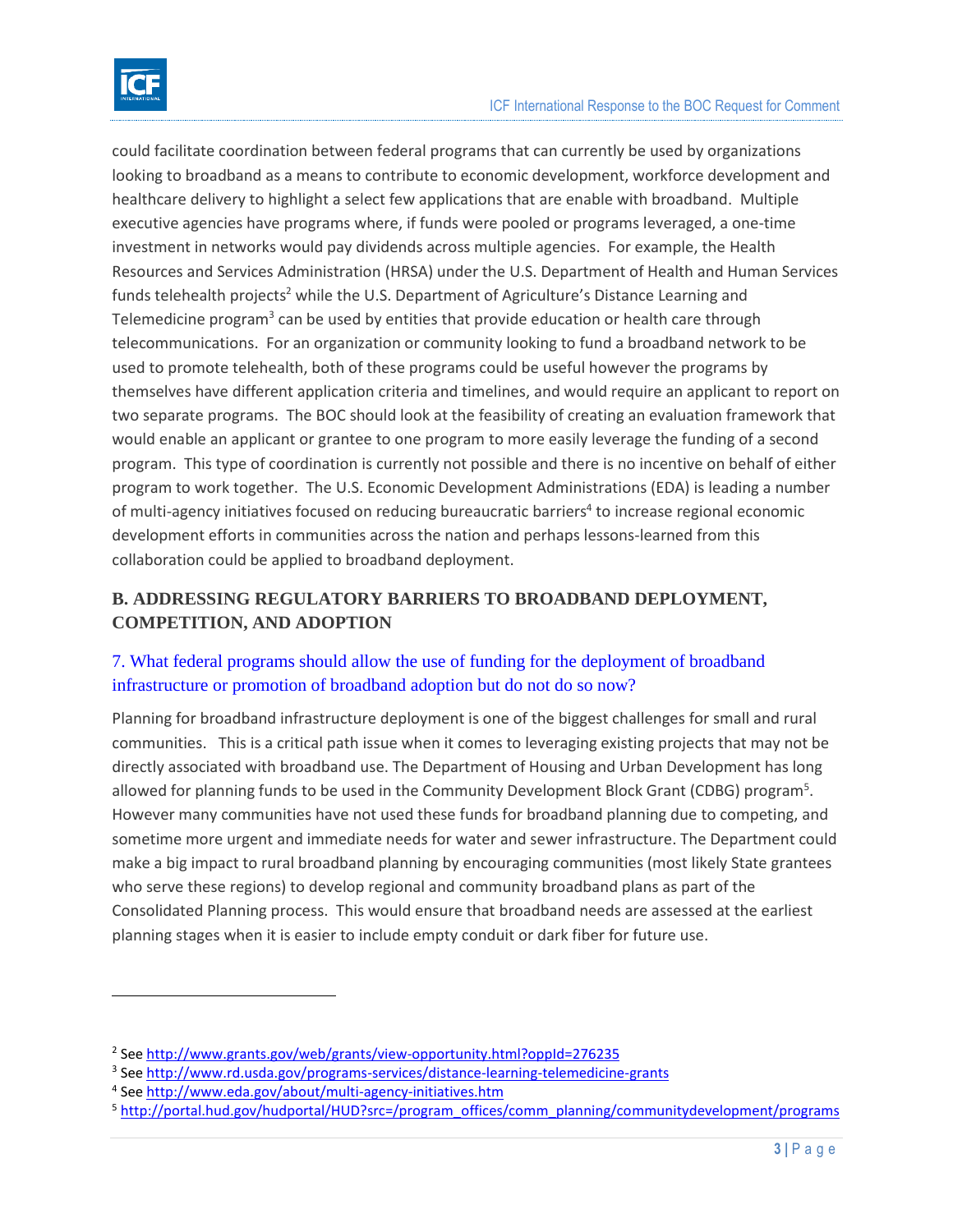

 $\overline{a}$ 

could facilitate coordination between federal programs that can currently be used by organizations looking to broadband as a means to contribute to economic development, workforce development and healthcare delivery to highlight a select few applications that are enable with broadband. Multiple executive agencies have programs where, if funds were pooled or programs leveraged, a one-time investment in networks would pay dividends across multiple agencies. For example, the Health Resources and Services Administration (HRSA) under the U.S. Department of Health and Human Services funds telehealth projects<sup>2</sup> while the U.S. Department of Agriculture's Distance Learning and Telemedicine program<sup>3</sup> can be used by entities that provide education or health care through telecommunications. For an organization or community looking to fund a broadband network to be used to promote telehealth, both of these programs could be useful however the programs by themselves have different application criteria and timelines, and would require an applicant to report on two separate programs. The BOC should look at the feasibility of creating an evaluation framework that would enable an applicant or grantee to one program to more easily leverage the funding of a second program. This type of coordination is currently not possible and there is no incentive on behalf of either program to work together. The U.S. Economic Development Administrations (EDA) is leading a number of multi-agency initiatives focused on reducing bureaucratic barriers<sup>4</sup> to increase regional economic development efforts in communities across the nation and perhaps lessons-learned from this collaboration could be applied to broadband deployment.

### **B. ADDRESSING REGULATORY BARRIERS TO BROADBAND DEPLOYMENT, COMPETITION, AND ADOPTION**

## 7. What federal programs should allow the use of funding for the deployment of broadband infrastructure or promotion of broadband adoption but do not do so now?

Planning for broadband infrastructure deployment is one of the biggest challenges for small and rural communities. This is a critical path issue when it comes to leveraging existing projects that may not be directly associated with broadband use. The Department of Housing and Urban Development has long allowed for planning funds to be used in the Community Development Block Grant (CDBG) program<sup>5</sup>. However many communities have not used these funds for broadband planning due to competing, and sometime more urgent and immediate needs for water and sewer infrastructure. The Department could make a big impact to rural broadband planning by encouraging communities (most likely State grantees who serve these regions) to develop regional and community broadband plans as part of the Consolidated Planning process. This would ensure that broadband needs are assessed at the earliest planning stages when it is easier to include empty conduit or dark fiber for future use.

<sup>&</sup>lt;sup>2</sup> See<http://www.grants.gov/web/grants/view-opportunity.html?oppId=276235>

<sup>&</sup>lt;sup>3</sup> See<http://www.rd.usda.gov/programs-services/distance-learning-telemedicine-grants>

<sup>&</sup>lt;sup>4</sup> See<http://www.eda.gov/about/multi-agency-initiatives.htm>

<sup>5</sup> [http://portal.hud.gov/hudportal/HUD?src=/program\\_offices/comm\\_planning/communitydevelopment/programs](http://portal.hud.gov/hudportal/HUD?src=/program_offices/comm_planning/communitydevelopment/programs)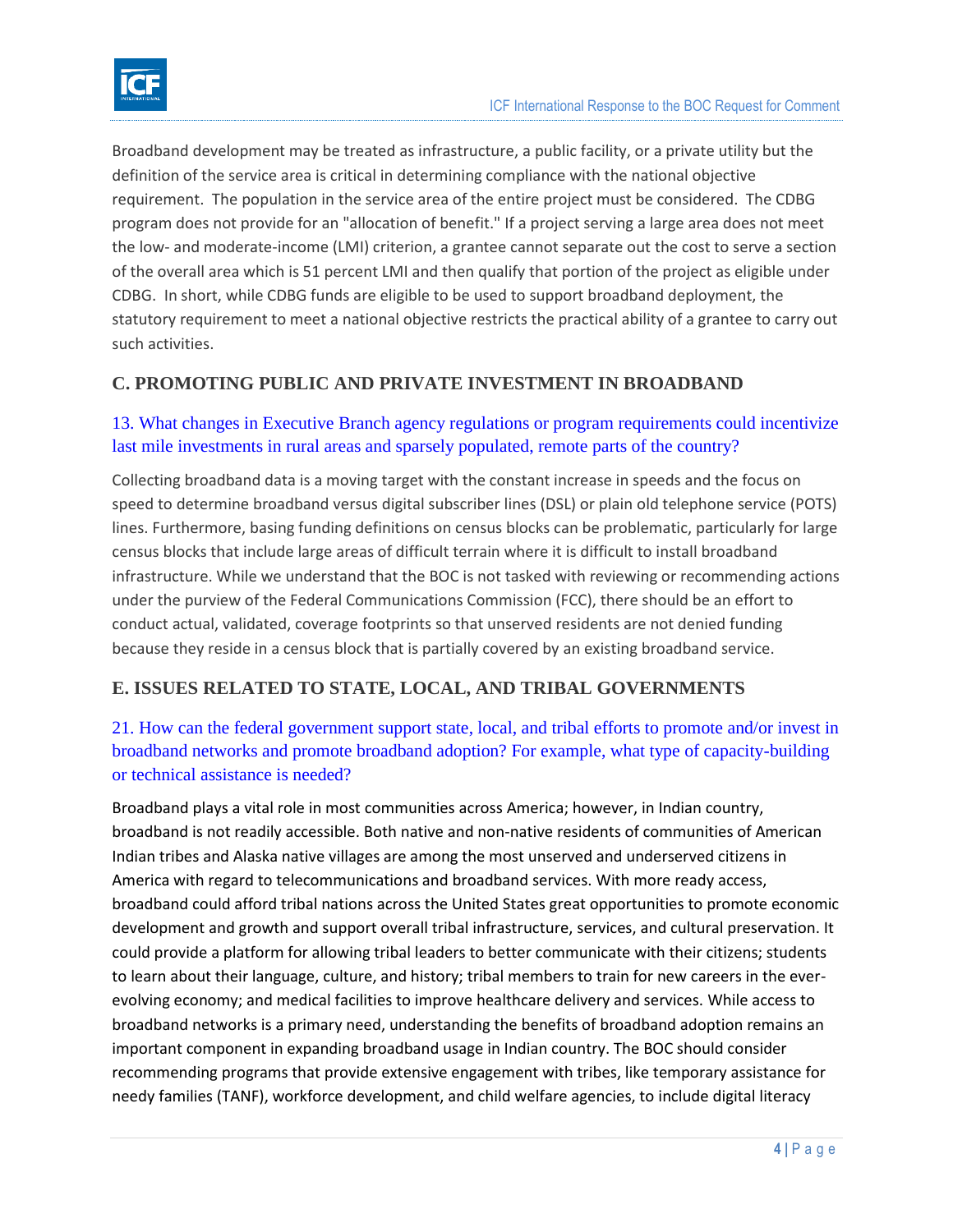

Broadband development may be treated as infrastructure, a public facility, or a private utility but the definition of the service area is critical in determining compliance with the national objective requirement. The population in the service area of the entire project must be considered. The CDBG program does not provide for an "allocation of benefit." If a project serving a large area does not meet the low- and moderate-income (LMI) criterion, a grantee cannot separate out the cost to serve a section of the overall area which is 51 percent LMI and then qualify that portion of the project as eligible under CDBG. In short, while CDBG funds are eligible to be used to support broadband deployment, the statutory requirement to meet a national objective restricts the practical ability of a grantee to carry out such activities.

#### **C. PROMOTING PUBLIC AND PRIVATE INVESTMENT IN BROADBAND**

#### 13. What changes in Executive Branch agency regulations or program requirements could incentivize last mile investments in rural areas and sparsely populated, remote parts of the country?

Collecting broadband data is a moving target with the constant increase in speeds and the focus on speed to determine broadband versus digital subscriber lines (DSL) or plain old telephone service (POTS) lines. Furthermore, basing funding definitions on census blocks can be problematic, particularly for large census blocks that include large areas of difficult terrain where it is difficult to install broadband infrastructure. While we understand that the BOC is not tasked with reviewing or recommending actions under the purview of the Federal Communications Commission (FCC), there should be an effort to conduct actual, validated, coverage footprints so that unserved residents are not denied funding because they reside in a census block that is partially covered by an existing broadband service.

## **E. ISSUES RELATED TO STATE, LOCAL, AND TRIBAL GOVERNMENTS**

### 21. How can the federal government support state, local, and tribal efforts to promote and/or invest in broadband networks and promote broadband adoption? For example, what type of capacity-building or technical assistance is needed?

Broadband plays a vital role in most communities across America; however, in Indian country, broadband is not readily accessible. Both native and non-native residents of communities of American Indian tribes and Alaska native villages are among the most unserved and underserved citizens in America with regard to telecommunications and broadband services. With more ready access, broadband could afford tribal nations across the United States great opportunities to promote economic development and growth and support overall tribal infrastructure, services, and cultural preservation. It could provide a platform for allowing tribal leaders to better communicate with their citizens; students to learn about their language, culture, and history; tribal members to train for new careers in the everevolving economy; and medical facilities to improve healthcare delivery and services. While access to broadband networks is a primary need, understanding the benefits of broadband adoption remains an important component in expanding broadband usage in Indian country. The BOC should consider recommending programs that provide extensive engagement with tribes, like temporary assistance for needy families (TANF), workforce development, and child welfare agencies, to include digital literacy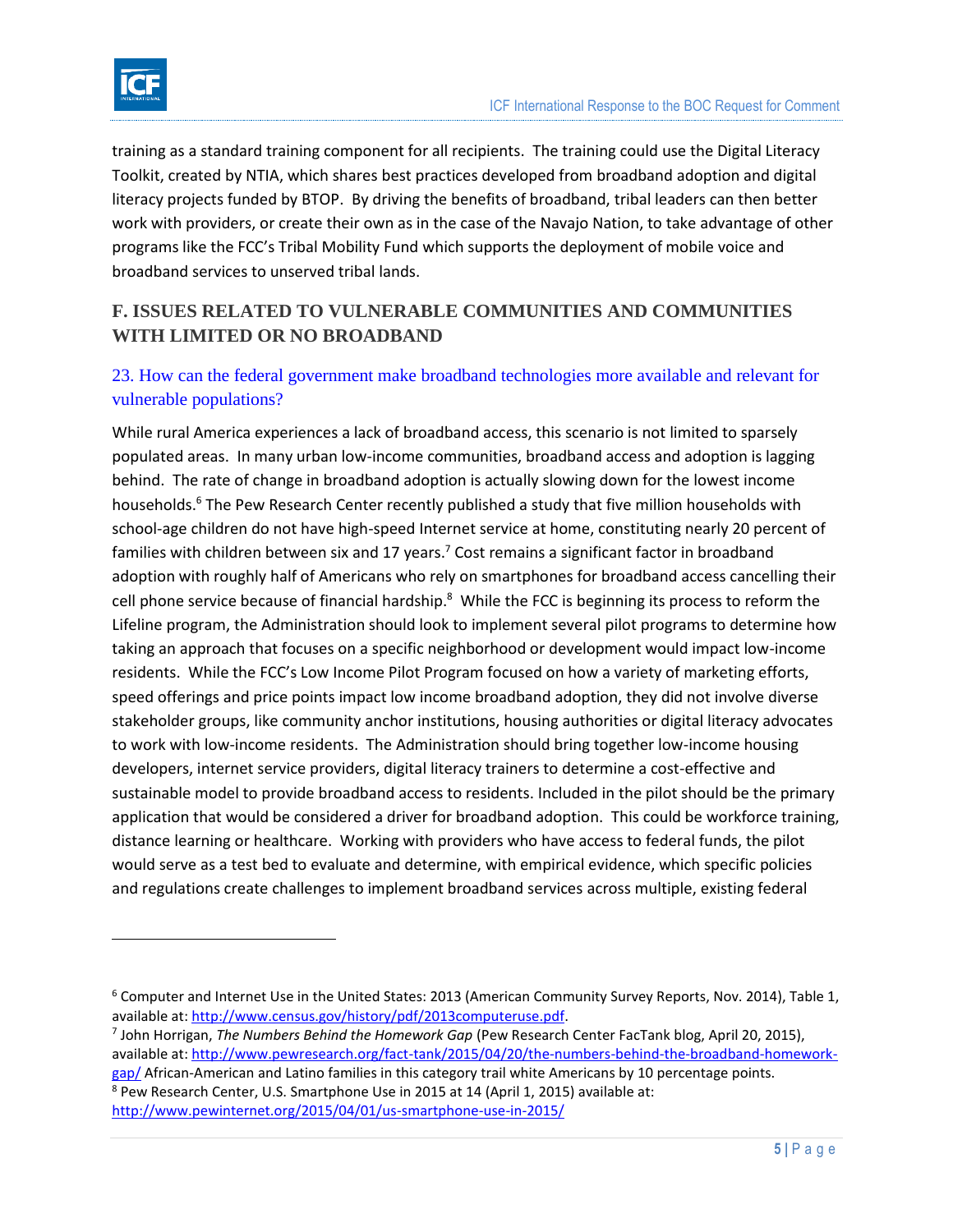

 $\overline{\phantom{a}}$ 

training as a standard training component for all recipients. The training could use the Digital Literacy Toolkit, created by NTIA, which shares best practices developed from broadband adoption and digital literacy projects funded by BTOP. By driving the benefits of broadband, tribal leaders can then better work with providers, or create their own as in the case of the Navajo Nation, to take advantage of other programs like the FCC's Tribal Mobility Fund which supports the deployment of mobile voice and broadband services to unserved tribal lands.

## **F. ISSUES RELATED TO VULNERABLE COMMUNITIES AND COMMUNITIES WITH LIMITED OR NO BROADBAND**

### 23. How can the federal government make broadband technologies more available and relevant for vulnerable populations?

While rural America experiences a lack of broadband access, this scenario is not limited to sparsely populated areas. In many urban low-income communities, broadband access and adoption is lagging behind. The rate of change in broadband adoption is actually slowing down for the lowest income households.<sup>6</sup> The Pew Research Center recently published a study that five million households with school-age children do not have high-speed Internet service at home, constituting nearly 20 percent of families with children between six and 17 years.<sup>7</sup> Cost remains a significant factor in broadband adoption with roughly half of Americans who rely on smartphones for broadband access cancelling their cell phone service because of financial hardship.<sup>8</sup> While the FCC is beginning its process to reform the Lifeline program, the Administration should look to implement several pilot programs to determine how taking an approach that focuses on a specific neighborhood or development would impact low-income residents. While the FCC's Low Income Pilot Program focused on how a variety of marketing efforts, speed offerings and price points impact low income broadband adoption, they did not involve diverse stakeholder groups, like community anchor institutions, housing authorities or digital literacy advocates to work with low-income residents. The Administration should bring together low-income housing developers, internet service providers, digital literacy trainers to determine a cost-effective and sustainable model to provide broadband access to residents. Included in the pilot should be the primary application that would be considered a driver for broadband adoption. This could be workforce training, distance learning or healthcare. Working with providers who have access to federal funds, the pilot would serve as a test bed to evaluate and determine, with empirical evidence, which specific policies and regulations create challenges to implement broadband services across multiple, existing federal

 $6$  Computer and Internet Use in the United States: 2013 (American Community Survey Reports, Nov. 2014), Table 1, available at: [http://www.census.gov/history/pdf/2013computeruse.pdf.](http://www.census.gov/history/pdf/2013computeruse.pdf)

<sup>7</sup> John Horrigan, *The Numbers Behind the Homework Gap* (Pew Research Center FacTank blog, April 20, 2015), available at: [http://www.pewresearch.org/fact-tank/2015/04/20/the-numbers-behind-the-broadband-homework](http://www.pewresearch.org/fact-tank/2015/04/20/the-numbers-behind-the-broadband-homework-gap/)[gap/](http://www.pewresearch.org/fact-tank/2015/04/20/the-numbers-behind-the-broadband-homework-gap/) African-American and Latino families in this category trail white Americans by 10 percentage points. <sup>8</sup> Pew Research Center, U.S. Smartphone Use in 2015 at 14 (April 1, 2015) available at: <http://www.pewinternet.org/2015/04/01/us-smartphone-use-in-2015/>